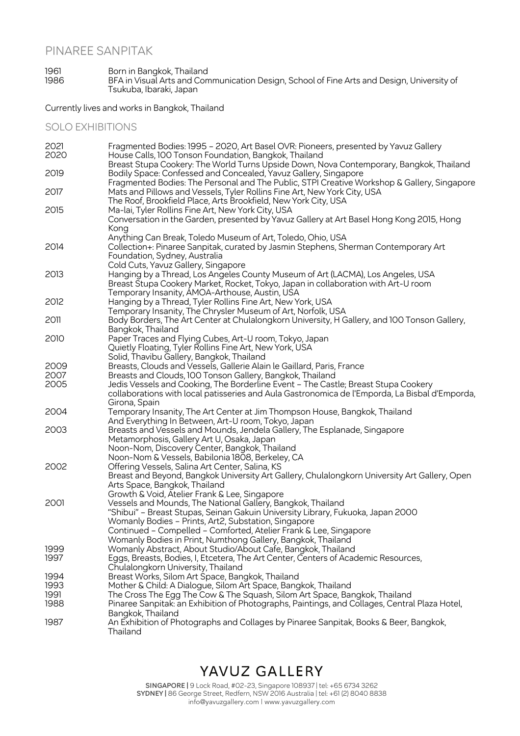#### PINAREE SANPITAK

#### 1961 Born in Bangkok, Thailand 1986 BFA in Visual Arts and Communication Design, School of Fine Arts and Design, University of Tsukuba, Ibaraki, Japan

Currently lives and works in Bangkok, Thailand

SOLO EXHIBITIONS

| 2021 | Fragmented Bodies: 1995 - 2020, Art Basel OVR: Pioneers, presented by Yavuz Gallery                                              |
|------|----------------------------------------------------------------------------------------------------------------------------------|
| 2020 | House Calls, 100 Tonson Foundation, Bangkok, Thailand                                                                            |
|      | Breast Stupa Cookery: The World Turns Upside Down, Nova Contemporary, Bangkok, Thailand                                          |
| 2019 | Bodily Space: Confessed and Concealed, Yavuz Gallery, Singapore                                                                  |
|      | Fragmented Bodies: The Personal and The Public, STPI Creative Workshop & Gallery, Singapore                                      |
| 2017 | Mats and Pillows and Vessels, Tyler Rollins Fine Art, New York City, USA                                                         |
|      | The Roof, Brookfield Place, Arts Brookfield, New York City, USA                                                                  |
| 2015 | Ma-lai, Tyler Rollins Fine Art, New York City, USA                                                                               |
|      | Conversation in the Garden, presented by Yavuz Gallery at Art Basel Hong Kong 2015, Hong                                         |
|      | Kong                                                                                                                             |
|      | Anything Can Break, Toledo Museum of Art, Toledo, Ohio, USA                                                                      |
| 2014 | Collection+: Pinaree Sanpitak, curated by Jasmin Stephens, Sherman Contemporary Art                                              |
|      | Foundation, Sydney, Australia                                                                                                    |
|      | Cold Cuts, Yavuz Gallery, Singapore                                                                                              |
| 2013 | Hanging by a Thread, Los Angeles County Museum of Art (LACMA), Los Angeles, USA                                                  |
|      | Breast Stupa Cookery Market, Rocket, Tokyo, Japan in collaboration with Art-U room                                               |
|      | Temporary Insanity, AMOA-Arthouse, Austin, USA                                                                                   |
| 2012 | Hanging by a Thread, Tyler Rollins Fine Art, New York, USA                                                                       |
|      | Temporary Insanity, The Chrysler Museum of Art, Norfolk, USA                                                                     |
| 2011 | Body Borders, The Art Center at Chulalongkorn University, H Gallery, and 100 Tonson Gallery,                                     |
|      | Bangkok, Thailand                                                                                                                |
| 2010 | Paper Traces and Flying Cubes, Art-U room, Tokyo, Japan                                                                          |
|      | Quietly Floating, Tyler Rollins Fine Art, New York, USA                                                                          |
|      | Solid, Thavibu Gallery, Bangkok, Thailand                                                                                        |
| 2009 | Breasts, Clouds and Vessels, Gallerie Alain le Gaillard, Paris, France                                                           |
| 2007 | Breasts and Clouds, 100 Tonson Gallery, Bangkok, Thailand                                                                        |
| 2005 | Jedis Vessels and Cooking, The Borderline Event - The Castle; Breast Stupa Cookery                                               |
|      | collaborations with local patisseries and Aula Gastronomica de l'Emporda, La Bisbal d'Emporda,                                   |
|      | Girona, Spain                                                                                                                    |
| 2004 | Temporary Insanity, The Art Center at Jim Thompson House, Bangkok, Thailand                                                      |
| 2003 | And Everything In Between, Art-U room, Tokyo, Japan<br>Breasts and Vessels and Mounds, Jendela Gallery, The Esplanade, Singapore |
|      | Metamorphosis, Gallery Art U, Osaka, Japan                                                                                       |
|      | Noon-Nom, Discovery Center, Bangkok, Thailand                                                                                    |
|      | Noon-Nom & Vessels, Babilonia 1808, Berkeley, CA                                                                                 |
| 2002 | Offering Vessels, Salina Art Center, Salina, KS                                                                                  |
|      | Breast and Beyond, Bangkok University Art Gallery, Chulalongkorn University Art Gallery, Open                                    |
|      | Arts Space, Bangkok, Thailand                                                                                                    |
|      | Growth & Void, Atelier Frank & Lee, Singapore                                                                                    |
| 2001 | Vessels and Mounds, The National Gallery, Bangkok, Thailand                                                                      |
|      | "Shibui" - Breast Stupas, Seinan Gakuin University Library, Fukuoka, Japan 2000                                                  |
|      | Womanly Bodies - Prints, Art2, Substation, Singapore                                                                             |
|      | Continued - Compelled - Comforted, Atelier Frank & Lee, Singapore                                                                |
|      | Womanly Bodies in Print, Numthong Gallery, Bangkok, Thailand                                                                     |
| 1999 | Womanly Abstract, About Studio/About Cafe, Bangkok, Thailand                                                                     |
| 1997 | Eggs, Breasts, Bodies, I, Etcetera, The Art Center, Centers of Academic Resources,                                               |
|      | Chulalongkorn University, Thailand                                                                                               |
| 1994 | Breast Works, Silom Art Space, Bangkok, Thailand                                                                                 |
| 1993 | Mother & Child: A Dialogue, Silom Art Space, Bangkok, Thailand                                                                   |
| 1991 | The Cross The Egg The Cow & The Squash, Silom Art Space, Bangkok, Thailand                                                       |
| 1988 | Pinaree Sanpitak: an Exhibition of Photographs, Paintings, and Collages, Central Plaza Hotel,                                    |
|      | Bangkok, Thailand                                                                                                                |
| 1987 | An Exhibition of Photographs and Collages by Pinaree Sanpitak, Books & Beer, Bangkok,                                            |
|      | Thailand                                                                                                                         |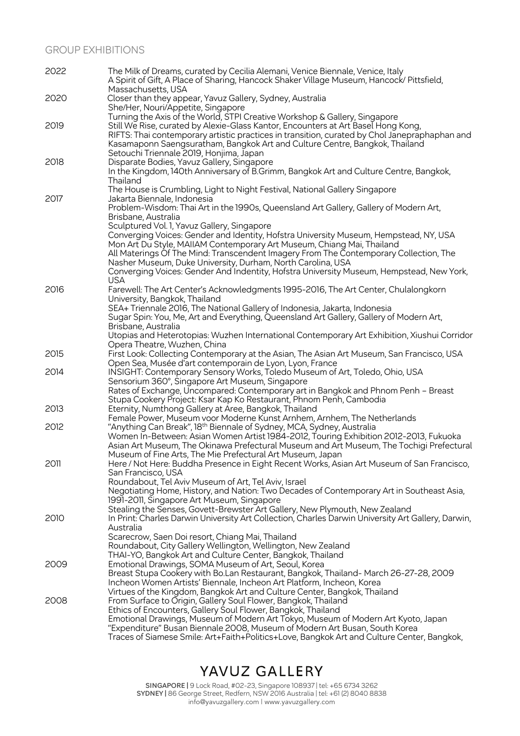#### GROUP EXHIBITIONS

| 2022 | The Milk of Dreams, curated by Cecilia Alemani, Venice Biennale, Venice, Italy<br>A Spirit of Gift, A Place of Sharing, Hancock Shaker Village Museum, Hancock/ Pittsfield,<br>Massachusetts, USA |
|------|---------------------------------------------------------------------------------------------------------------------------------------------------------------------------------------------------|
| 2020 | Closer than they appear, Yavuz Gallery, Sydney, Australia<br>She/Her, Nouri/Appetite, Singapore                                                                                                   |
|      | Turning the Axis of the World, STPI Creative Workshop & Gallery, Singapore                                                                                                                        |
| 2019 | Still We Rise, curated by Alexie-Glass Kantor, Encounters at Art Basel Hong Kong,                                                                                                                 |
|      | RIFTS: Thai contemporary artistic practices in transition, curated by Chol Janepraphaphan and                                                                                                     |
|      | Kasamaponn Saengsuratham, Bangkok Art and Culture Centre, Bangkok, Thailand                                                                                                                       |
| 2018 | Setouchi Triennale 2019, Honjima, Japan<br>Disparate Bodies, Yavuz Gallery, Singapore                                                                                                             |
|      | In the Kingdom, 140th Anniversary of B.Grimm, Bangkok Art and Culture Centre, Bangkok,<br>Thailand                                                                                                |
|      | The House is Crumbling, Light to Night Festival, National Gallery Singapore                                                                                                                       |
| 2017 | Jakarta Biennale, Indonesia                                                                                                                                                                       |
|      | Problem-Wisdom: Thai Art in the 1990s, Queensland Art Gallery, Gallery of Modern Art,<br>Brisbane, Australia                                                                                      |
|      | Sculptured Vol. 1, Yavuz Gallery, Singapore                                                                                                                                                       |
|      | Converging Voices: Gender and Identity, Hofstra University Museum, Hempstead, NY, USA<br>Mon Art Du Style, MAIIAM Contemporary Art Museum, Chiang Mai, Thailand                                   |
|      | All Materings Of The Mind: Transcendent Imagery From The Contemporary Collection, The                                                                                                             |
|      | Nasher Museum, Duke University, Durham, North Carolina, USA                                                                                                                                       |
|      | Converging Voices: Gender And Indentity, Hofstra University Museum, Hempstead, New York,                                                                                                          |
|      | <b>USA</b>                                                                                                                                                                                        |
| 2016 | Farewell: The Art Center's Acknowledgments 1995-2016, The Art Center, Chulalongkorn<br>University, Bangkok, Thailand                                                                              |
|      | SEA+ Triennale 2016, The National Gallery of Indonesia, Jakarta, Indonesia                                                                                                                        |
|      | Sugar Spin: You, Me, Art and Everything, Queensland Art Gallery, Gallery of Modern Art,<br>Brisbane, Australia                                                                                    |
|      | Utopias and Heterotopias: Wuzhen International Contemporary Art Exhibition, Xiushui Corridor                                                                                                      |
|      | Opera Theatre, Wuzhen, China                                                                                                                                                                      |
| 2015 | First Look: Collecting Contemporary at the Asian, The Asian Art Museum, San Francisco, USA                                                                                                        |
|      | Open Sea, Musée d'art contemporain de Lyon, Lyon, France                                                                                                                                          |
| 2014 | INSIGHT: Contemporary Sensory Works, Toledo Museum of Art, Toledo, Ohio, USA                                                                                                                      |
|      | Sensorium 360°, Singapore Art Museum, Singapore<br>Rates of Exchange, Uncompared: Contemporary art in Bangkok and Phnom Penh - Breast                                                             |
|      | Stupa Cookery Project: Ksar Kap Ko Restaurant, Phnom Penh, Cambodia                                                                                                                               |
| 2013 | Eternity, Numthong Gallery at Aree, Bangkok, Thailand                                                                                                                                             |
|      | Female Power, Museum voor Moderne Kunst Arnhem, Arnhem, The Netherlands                                                                                                                           |
| 2012 | "Anything Can Break", 18 <sup>th</sup> Biennale of Sydney, MCA, Sydney, Australia                                                                                                                 |
|      | Women In-Between: Asian Women Artist 1984-2012, Touring Exhibition 2012-2013, Fukuoka                                                                                                             |
|      | Asian Art Museum, The Okinawa Prefectural Museum and Art Museum, The Tochigi Prefectural<br>Museum of Fine Arts, The Mie Prefectural Art Museum, Japan                                            |
| 2011 | Here / Not Here: Buddha Presence in Eight Recent Works, Asian Art Museum of San Francisco,                                                                                                        |
|      | San Francisco, USA                                                                                                                                                                                |
|      | Roundabout, Tel Aviv Museum of Art, Tel Aviv, Israel                                                                                                                                              |
|      | Negotiating Home, History, and Nation: Two Decades of Contemporary Art in Southeast Asia,                                                                                                         |
|      | 1991-2011, Singapore Art Museum, Singapore<br>Stealing the Senses, Govett-Brewster Art Gallery, New Plymouth, New Zealand                                                                         |
| 2010 | In Print: Charles Darwin University Art Collection, Charles Darwin University Art Gallery, Darwin,                                                                                                |
|      | Australia                                                                                                                                                                                         |
|      | Scarecrow, Saen Doi resort, Chiang Mai, Thailand                                                                                                                                                  |
|      | Roundabout, City Gallery Wellington, Wellington, New Zealand                                                                                                                                      |
|      | THAI-YO, Bangkok Art and Culture Center, Bangkok, Thailand                                                                                                                                        |
| 2009 | Emotional Drawings, SOMA Museum of Art, Seoul, Korea                                                                                                                                              |
|      | Breast Stupa Cookery with Bo.Lan Restaurant, Bangkok, Thailand-March 26-27-28, 2009<br>Incheon Women Artists' Biennale, Incheon Art Platform, Incheon, Korea                                      |
|      | Virtues of the Kingdom, Bangkok Art and Culture Center, Bangkok, Thailand                                                                                                                         |
| 2008 | From Surface to Origin, Gallery Soul Flower, Bangkok, Thailand                                                                                                                                    |
|      | Ethics of Encounters, Gallery Soul Flower, Bangkok, Thailand                                                                                                                                      |
|      | Emotional Drawings, Museum of Modern Art Tokyo, Museum of Modern Art Kyoto, Japan                                                                                                                 |
|      | "Expenditure" Busan Biennale 2008, Museum of Modern Art Busan, South Korea                                                                                                                        |
|      | Traces of Siamese Smile: Art+Faith+Politics+Love, Bangkok Art and Culture Center, Bangkok,                                                                                                        |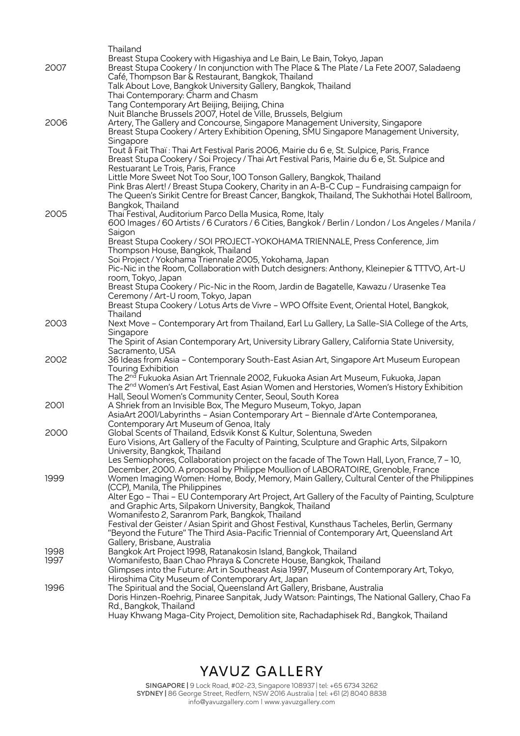|              | Thailand                                                                                                                                                                                                |
|--------------|---------------------------------------------------------------------------------------------------------------------------------------------------------------------------------------------------------|
|              | Breast Stupa Cookery with Higashiya and Le Bain, Le Bain, Tokyo, Japan                                                                                                                                  |
| 2007         | Breast Stupa Cookery / In conjunction with The Place & The Plate / La Fete 2007, Saladaeng                                                                                                              |
|              | Café, Thompson Bar & Restaurant, Bangkok, Thailand                                                                                                                                                      |
|              | Talk About Love, Bangkok University Gallery, Bangkok, Thailand                                                                                                                                          |
|              | Thai Contemporary: Charm and Chasm                                                                                                                                                                      |
|              | Tang Contemporary Art Beijing, Beijing, China                                                                                                                                                           |
| 2006         | Nuit Blanche Brussels 2007, Hotel de Ville, Brussels, Belgium<br>Artery, The Gallery and Concourse, Singapore Management University, Singapore                                                          |
|              | Breast Stupa Cookery / Artery Exhibition Opening, SMU Singapore Management University,                                                                                                                  |
|              | Singapore                                                                                                                                                                                               |
|              | Tout â Fait Thaï : Thai Art Festival Paris 2006, Mairie du 6 e, St. Sulpice, Paris, France                                                                                                              |
|              | Breast Stupa Cookery / Soi Projecy / Thai Art Festival Paris, Mairie du 6 e, St. Sulpice and                                                                                                            |
|              | Restuarant Le Trois, Paris, France                                                                                                                                                                      |
|              | Little More Sweet Not Too Sour, 100 Tonson Gallery, Bangkok, Thailand                                                                                                                                   |
|              | Pink Bras Alert! / Breast Stupa Cookery, Charity in an A-B-C Cup - Fundraising campaign for                                                                                                             |
|              | The Queen's Sirikit Centre for Breast Cancer, Bangkok, Thailand, The Sukhothai Hotel Ballroom,                                                                                                          |
|              | Bangkok, Thailand                                                                                                                                                                                       |
| 2005         | Thai Festival, Auditorium Parco Della Musica, Rome, Italy                                                                                                                                               |
|              | 600 Images / 60 Artists / 6 Curators / 6 Cities, Bangkok / Berlin / London / Los Angeles / Manila /<br>Saigon                                                                                           |
|              | Breast Stupa Cookery / SOI PROJECT-YOKOHAMA TRIENNALE, Press Conference, Jim                                                                                                                            |
|              | Thompson House, Bangkok, Thailand                                                                                                                                                                       |
|              | Soi Project / Yokohama Triennale 2005, Yokohama, Japan                                                                                                                                                  |
|              | Pic-Nic in the Room, Collaboration with Dutch designers: Anthony, Kleinepier & TTTVO, Art-U                                                                                                             |
|              | room, Tokyo, Japan                                                                                                                                                                                      |
|              | Breast Stupa Cookery / Pic-Nic in the Room, Jardin de Bagatelle, Kawazu / Urasenke Tea                                                                                                                  |
|              | Ceremony / Art-U room, Tokyo, Japan                                                                                                                                                                     |
|              | Breast Stupa Cookery / Lotus Arts de Vivre - WPO Offsite Event, Oriental Hotel, Bangkok,<br>Thailand                                                                                                    |
| 2003         | Next Move - Contemporary Art from Thailand, Earl Lu Gallery, La Salle-SIA College of the Arts,                                                                                                          |
|              | Singapore                                                                                                                                                                                               |
|              | The Spirit of Asian Contemporary Art, University Library Gallery, California State University,                                                                                                          |
|              | Sacramento, USA                                                                                                                                                                                         |
| 2002         | 36 Ideas from Asia - Contemporary South-East Asian Art, Singapore Art Museum European                                                                                                                   |
|              | <b>Touring Exhibition</b>                                                                                                                                                                               |
|              | The 2 <sup>nd</sup> Fukuoka Asian Art Triennale 2002, Fukuoka Asian Art Museum, Fukuoka, Japan<br>The 2 <sup>nd</sup> Women's Art Festival, East Asian Women and Herstories, Women's History Exhibition |
|              | Hall, Seoul Women's Community Center, Seoul, South Korea                                                                                                                                                |
| 2001         | A Shriek from an Invisible Box, The Meguro Museum, Tokyo, Japan                                                                                                                                         |
|              | AsiaArt 2001/Labyrinths - Asian Contemporary Art - Biennale d'Arte Contemporanea,                                                                                                                       |
|              | Contemporary Art Museum of Genoa, Italy                                                                                                                                                                 |
| 2000         | Global Scents of Thailand, Edsvik Konst & Kultur, Solentuna, Sweden                                                                                                                                     |
|              | Euro Visions, Art Gallery of the Faculty of Painting, Sculpture and Graphic Arts, Silpakorn                                                                                                             |
|              | University, Bangkok, Thailand                                                                                                                                                                           |
|              | Les Semiophores, Collaboration project on the facade of The Town Hall, Lyon, France, 7 - 10,                                                                                                            |
| 1999         | December, 2000. A proposal by Philippe Moullion of LABORATOIRE, Grenoble, France<br>Women Imaging Women: Home, Body, Memory, Main Gallery, Cultural Center of the Philippines                           |
|              | (CCP), Manila, The Philippines                                                                                                                                                                          |
|              | Alter Ego - Thai - EU Contemporary Art Project, Art Gallery of the Faculty of Painting, Sculpture                                                                                                       |
|              | and Graphic Arts, Silpakorn University, Bangkok, Thailand                                                                                                                                               |
|              | Womanifesto 2, Saranrom Park, Bangkok, Thailand                                                                                                                                                         |
|              | Festival der Geister / Asian Spirit and Ghost Festival, Kunsthaus Tacheles, Berlin, Germany                                                                                                             |
|              | "Beyond the Future" The Third Asia-Pacific Triennial of Contemporary Art, Queensland Art                                                                                                                |
|              | Gallery, Brisbane, Australia                                                                                                                                                                            |
| 1998<br>1997 | Bangkok Art Project 1998, Ratanakosin Island, Bangkok, Thailand                                                                                                                                         |
|              | Womanifesto, Baan Chao Phraya & Concrete House, Bangkok, Thailand<br>Glimpses into the Future: Art in Southeast Asia 1997, Museum of Contemporary Art, Tokyo,                                           |
|              | Hiroshima City Museum of Contemporary Art, Japan                                                                                                                                                        |
| 1996         | The Spiritual and the Social, Queensland Art Gallery, Brisbane, Australia                                                                                                                               |
|              | Doris Hinzen-Roehrig, Pinaree Sanpitak, Judy Watson: Paintings, The National Gallery, Chao Fa                                                                                                           |
|              | Rd., Bangkok, Thailand                                                                                                                                                                                  |
|              | Huay Khwang Maga-City Project, Demolition site, Rachadaphisek Rd., Bangkok, Thailand                                                                                                                    |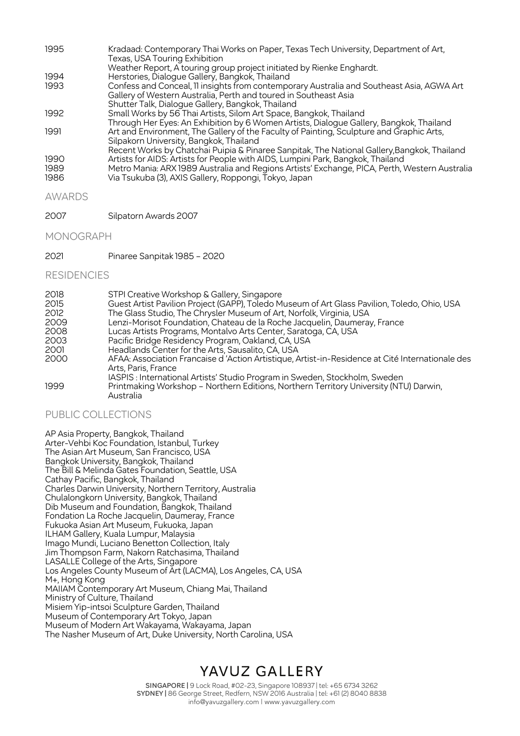| 1995 | Kradaad: Contemporary Thai Works on Paper, Texas Tech University, Department of Art,<br>Texas, USA Touring Exhibition |
|------|-----------------------------------------------------------------------------------------------------------------------|
|      | Weather Report, A touring group project initiated by Rienke Enghardt.                                                 |
| 1994 | Herstories, Dialogue Gallery, Bangkok, Thailand                                                                       |
| 1993 | Confess and Conceal, 11 insights from contemporary Australia and Southeast Asia, AGWA Art                             |
|      | Gallery of Western Australia, Perth and toured in Southeast Asia                                                      |
|      | Shutter Talk, Dialogue Gallery, Bangkok, Thailand                                                                     |
| 1992 | Small Works by 56 Thai Artists, Silom Art Space, Bangkok, Thailand                                                    |
|      | Through Her Eyes: An Exhibition by 6 Women Artists, Dialogue Gallery, Bangkok, Thailand                               |
| 1991 | Art and Environment, The Gallery of the Faculty of Painting, Sculpture and Graphic Arts,                              |
|      | Silpakorn University, Bangkok, Thailand                                                                               |
|      | Recent Works by Chatchai Puipia & Pinaree Sanpitak, The National Gallery, Bangkok, Thailand                           |
| 1990 | Artists for AIDS: Artists for People with AIDS, Lumpini Park, Bangkok, Thailand                                       |
| 1989 | Metro Mania: ARX 1989 Australia and Regions Artists' Exchange, PICA, Perth, Western Australia                         |
| 1986 | Via Tsukuba (3), AXIS Gallery, Roppongi, Tokyo, Japan                                                                 |
|      |                                                                                                                       |

#### AWARDS

2007 Silpatorn Awards 2007

#### MONOGRAPH

2021 Pinaree Sanpitak 1985 – 2020

#### RESIDENCIES

| 2018 | STPI Creative Workshop & Gallery, Singapore                                                                            |
|------|------------------------------------------------------------------------------------------------------------------------|
| 2015 | Guest Artist Pavilion Project (GAPP), Toledo Museum of Art Glass Pavilion, Toledo, Ohio, USA                           |
| 2012 | The Glass Studio, The Chrysler Museum of Art, Norfolk, Virginia, USA                                                   |
| 2009 | Lenzi-Morisot Foundation, Chateau de la Roche Jacquelin, Daumeray, France                                              |
| 2008 | Lucas Artists Programs, Montalvo Arts Center, Saratoga, CA, USA                                                        |
| 2003 | Pacific Bridge Residency Program, Oakland, CA, USA                                                                     |
| 2001 | Headlands Center for the Arts, Sausalito, CA, USA                                                                      |
| 2000 | AFAA: Association Francaise d'Action Artistique, Artist-in-Residence at Cité Internationale des<br>Arts, Paris, France |
|      | IASPIS: International Artists' Studio Program in Sweden, Stockholm, Sweden                                             |
| 1999 | Printmaking Workshop - Northern Editions, Northern Territory University (NTU) Darwin,<br>Australia                     |

#### PUBLIC COLLECTIONS

AP Asia Property, Bangkok, Thailand Arter-Vehbi Koc Foundation, Istanbul, Turkey The Asian Art Museum, San Francisco, USA Bangkok University, Bangkok, Thailand The Bill & Melinda Gates Foundation, Seattle, USA Cathay Pacific, Bangkok, Thailand Charles Darwin University, Northern Territory, Australia Chulalongkorn University, Bangkok, Thailand Dib Museum and Foundation, Bangkok, Thailand Fondation La Roche Jacquelin, Daumeray, France Fukuoka Asian Art Museum, Fukuoka, Japan ILHAM Gallery, Kuala Lumpur, Malaysia Imago Mundi, Luciano Benetton Collection, Italy Jim Thompson Farm, Nakorn Ratchasima, Thailand LASALLE College of the Arts, Singapore Los Angeles County Museum of Art (LACMA), Los Angeles, CA, USA M+, Hong Kong MAIIAM Contemporary Art Museum, Chiang Mai, Thailand Ministry of Culture, Thailand Misiem Yip-intsoi Sculpture Garden, Thailand Museum of Contemporary Art Tokyo, Japan Museum of Modern Art Wakayama, Wakayama, Japan The Nasher Museum of Art, Duke University, North Carolina, USA